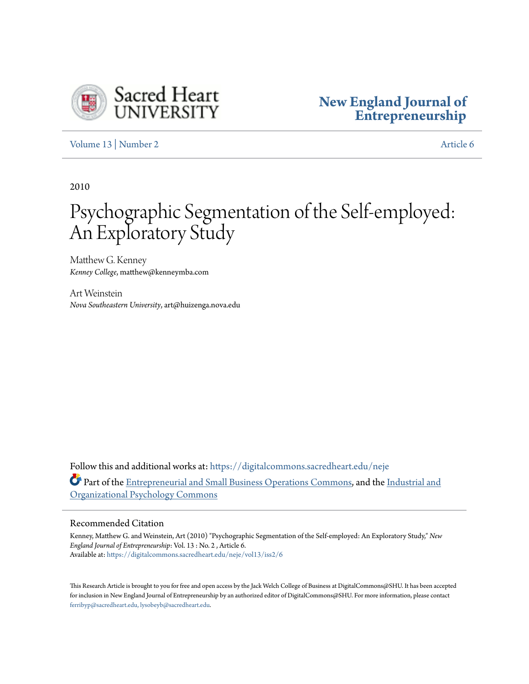

# **[New England Journal of](https://digitalcommons.sacredheart.edu/neje?utm_source=digitalcommons.sacredheart.edu%2Fneje%2Fvol13%2Fiss2%2F6&utm_medium=PDF&utm_campaign=PDFCoverPages) [Entrepreneurship](https://digitalcommons.sacredheart.edu/neje?utm_source=digitalcommons.sacredheart.edu%2Fneje%2Fvol13%2Fiss2%2F6&utm_medium=PDF&utm_campaign=PDFCoverPages)**

[Volume 13](https://digitalcommons.sacredheart.edu/neje/vol13?utm_source=digitalcommons.sacredheart.edu%2Fneje%2Fvol13%2Fiss2%2F6&utm_medium=PDF&utm_campaign=PDFCoverPages) | [Number 2](https://digitalcommons.sacredheart.edu/neje/vol13/iss2?utm_source=digitalcommons.sacredheart.edu%2Fneje%2Fvol13%2Fiss2%2F6&utm_medium=PDF&utm_campaign=PDFCoverPages) [Article 6](https://digitalcommons.sacredheart.edu/neje/vol13/iss2/6?utm_source=digitalcommons.sacredheart.edu%2Fneje%2Fvol13%2Fiss2%2F6&utm_medium=PDF&utm_campaign=PDFCoverPages)

2010

# Psychographic Segmentation of the Self-employed: An Exploratory Study

Matthew G. Kenney *Kenney College*, matthew@kenneymba.com

Art Weinstein *Nova Southeastern University*, art@huizenga.nova.edu

Follow this and additional works at: [https://digitalcommons.sacredheart.edu/neje](https://digitalcommons.sacredheart.edu/neje?utm_source=digitalcommons.sacredheart.edu%2Fneje%2Fvol13%2Fiss2%2F6&utm_medium=PDF&utm_campaign=PDFCoverPages) Part of the [Entrepreneurial and Small Business Operations Commons](http://network.bepress.com/hgg/discipline/630?utm_source=digitalcommons.sacredheart.edu%2Fneje%2Fvol13%2Fiss2%2F6&utm_medium=PDF&utm_campaign=PDFCoverPages), and the [Industrial and](http://network.bepress.com/hgg/discipline/412?utm_source=digitalcommons.sacredheart.edu%2Fneje%2Fvol13%2Fiss2%2F6&utm_medium=PDF&utm_campaign=PDFCoverPages) [Organizational Psychology Commons](http://network.bepress.com/hgg/discipline/412?utm_source=digitalcommons.sacredheart.edu%2Fneje%2Fvol13%2Fiss2%2F6&utm_medium=PDF&utm_campaign=PDFCoverPages)

# Recommended Citation

Kenney, Matthew G. and Weinstein, Art (2010) "Psychographic Segmentation of the Self-employed: An Exploratory Study," *New England Journal of Entrepreneurship*: Vol. 13 : No. 2 , Article 6. Available at: [https://digitalcommons.sacredheart.edu/neje/vol13/iss2/6](https://digitalcommons.sacredheart.edu/neje/vol13/iss2/6?utm_source=digitalcommons.sacredheart.edu%2Fneje%2Fvol13%2Fiss2%2F6&utm_medium=PDF&utm_campaign=PDFCoverPages)

This Research Article is brought to you for free and open access by the Jack Welch College of Business at DigitalCommons@SHU. It has been accepted for inclusion in New England Journal of Entrepreneurship by an authorized editor of DigitalCommons@SHU. For more information, please contact [ferribyp@sacredheart.edu, lysobeyb@sacredheart.edu.](mailto:ferribyp@sacredheart.edu,%20lysobeyb@sacredheart.edu)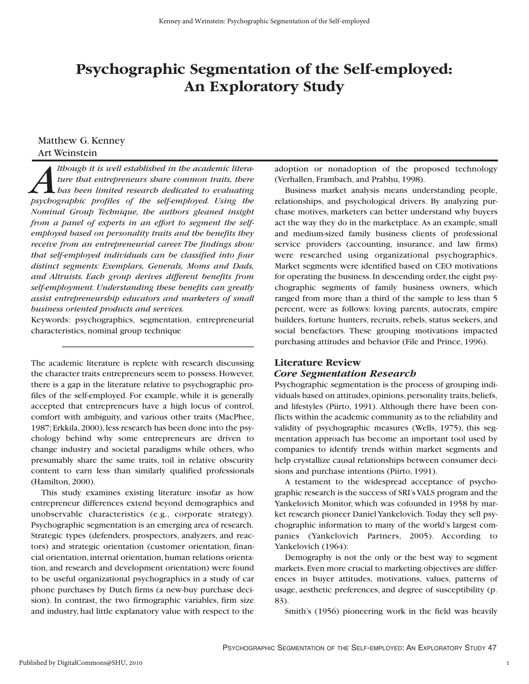# **Psychographic Segmentation of the Self-employed: An Exploratory Study**

# Matthew G. Kenney Art Weinstein

*Although it is well established in the academic litera-*<br>ture that entrepreneurs share common traits, there<br>bas been limited research dedicated to evaluating<br>bsychoerabhic profiles of the self-emploved. Using the *ture that entrepreneurs share common traits, there has been limited research dedicated to evaluating psychographic profiles of the self-employed. Using the Nominal Group Technique, the authors gleaned insight from a panel of experts in an effort to segment the selfemployed based on personality traits and the benefits they receive from an entrepreneurial career. The findings show that self-employed individuals can be classified into four distinct segments: Exemplars, Generals, Moms and Dads, and Altruists. Each group derives different benefits from self-employment. Understanding these benefits can greatly assist entrepreneurship educators and marketers of small business oriented products and services.*

Keywords: psychographics, segmentation, entrepreneurial characteristics, nominal group technique

The academic literature is replete with research discussing the character traits entrepreneurs seem to possess. However, there is a gap in the literature relative to psychographic profiles of the self-employed. For example, while it is generally accepted that entrepreneurs have a high locus of control, comfort with ambiguity, and various other traits (MacPhee, 1987; Erkkila, 2000), less research has been done into the psychology behind why some entrepreneurs are driven to change industry and societal paradigms while others, who presumably share the same traits, toil in relative obscurity content to earn less than similarly qualified professionals (Hamilton, 2000).

This study examines existing literature insofar as how entrepreneur differences extend beyond demographics and unobservable characteristics (e.g., corporate strategy). Psychographic segmentation is an emerging area of research. Strategic types (defenders, prospectors, analyzers, and reactors) and strategic orientation (customer orientation, financial orientation, internal orientation,human relations orientation, and research and development orientation) were found to be useful organizational psychographics in a study of car phone purchases by Dutch firms (a new-buy purchase decision). In contrast, the two firmographic variables, firm size and industry, had little explanatory value with respect to the adoption or nonadoption of the proposed technology (Verhallen, Frambach, and Prabhu, 1998).

Business market analysis means understanding people, relationships, and psychological drivers. By analyzing purchase motives, marketers can better understand why buyers act the way they do in the marketplace. As an example, small and medium-sized family business clients of professional service providers (accounting, insurance, and law firms) were researched using organizational psychographics. Market segments were identified based on CEO motivations for operating the business. In descending order, the eight psychographic segments of family business owners, which ranged from more than a third of the sample to less than 5 percent, were as follows: loving parents, autocrats, empire builders, fortune hunters, recruits, rebels, status seekers, and social benefactors. These grouping motivations impacted purchasing attitudes and behavior (File and Prince, 1996).

# **Literature Review**

# *Core Segmentation Research*

Psychographic segmentation is the process of grouping individuals based on attitudes, opinions, personality traits, beliefs, and lifestyles (Piirto, 1991). Although there have been conflicts within the academic community as to the reliability and validity of psychographic measures (Wells, 1975), this segmentation approach has become an important tool used by companies to identify trends within market segments and help crystallize causal relationships between consumer decisions and purchase intentions (Piirto, 1991).

A testament to the widespread acceptance of psychographic research is the success of SRI's VALS program and the Yankelovich Monitor, which was cofounded in 1958 by market research pioneer Daniel Yankelovich. Today they sell psychographic information to many of the world's largest companies (Yankelovich Partners, 2005). According to Yankelovich (1964):

Demography is not the only or the best way to segment markets.Even more crucial to marketing objectives are differences in buyer attitudes, motivations, values, patterns of usage, aesthetic preferences, and degree of susceptibility (p. 83).

Smith's (1956) pioneering work in the field was heavily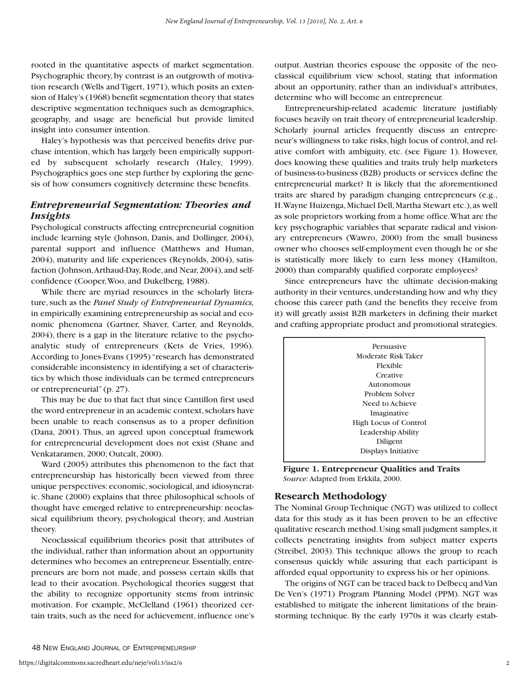rooted in the quantitative aspects of market segmentation. Psychographic theory, by contrast is an outgrowth of motivation research (Wells and Tigert, 1971), which posits an extension of Haley's (1968) benefit segmentation theory that states descriptive segmentation techniques such as demographics, geography, and usage are beneficial but provide limited insight into consumer intention.

Haley's hypothesis was that perceived benefits drive purchase intention, which has largely been empirically supported by subsequent scholarly research (Haley, 1999). Psychographics goes one step further by exploring the genesis of how consumers cognitively determine these benefits.

# *Entrepreneurial Segmentation: Theories and Insights*

Psychological constructs affecting entrepreneurial cognition include learning style (Johnson, Danis, and Dollinger, 2004), parental support and influence (Matthews and Human, 2004), maturity and life experiences (Reynolds, 2004), satisfaction (Johnson, Arthaud-Day, Rode, and Near, 2004), and selfconfidence (Cooper,Woo, and Dukelberg, 1988).

While there are myriad resources in the scholarly literature, such as the *Panel Study of Entrepreneurial Dynamics,* in empirically examining entrepreneurship as social and economic phenomena (Gartner, Shaver, Carter, and Reynolds, 2004), there is a gap in the literature relative to the psychoanalytic study of entrepreneurs (Kets de Vries, 1996). According to Jones-Evans (1995) "research has demonstrated considerable inconsistency in identifying a set of characteristics by which those individuals can be termed entrepreneurs or entrepreneurial" (p. 27).

This may be due to that fact that since Cantillon first used the word entrepreneur in an academic context, scholars have been unable to reach consensus as to a proper definition (Dana, 2001). Thus, an agreed upon conceptual framework for entrepreneurial development does not exist (Shane and Venkataramen, 2000; Outcalt, 2000).

Ward (2005) attributes this phenomenon to the fact that entrepreneurship has historically been viewed from three unique perspectives: economic, sociological, and idiosyncratic. Shane (2000) explains that three philosophical schools of thought have emerged relative to entrepreneurship: neoclassical equilibrium theory, psychological theory, and Austrian theory.

Neoclassical equilibrium theories posit that attributes of the individual, rather than information about an opportunity determines who becomes an entrepreneur. Essentially, entrepreneurs are born not made, and possess certain skills that lead to their avocation. Psychological theories suggest that the ability to recognize opportunity stems from intrinsic motivation. For example, McClelland (1961) theorized certain traits, such as the need for achievement, influence one's output. Austrian theories espouse the opposite of the neoclassical equilibrium view school, stating that information about an opportunity, rather than an individual's attributes, determine who will become an entrepreneur.

Entrepreneurship-related academic literature justifiably focuses heavily on trait theory of entrepreneurial leadership. Scholarly journal articles frequently discuss an entrepreneur's willingness to take risks, high locus of control, and relative comfort with ambiguity, etc. (see Figure 1). However, does knowing these qualities and traits truly help marketers of business-to-business (B2B) products or services define the entrepreneurial market? It is likely that the aforementioned traits are shared by paradigm changing entrepreneurs (e.g., H.Wayne Huizenga,Michael Dell,Martha Stewart etc.),as well as sole proprietors working from a home office.What are the key psychographic variables that separate radical and visionary entrepreneurs (Wawro, 2000) from the small business owner who chooses self-employment even though he or she is statistically more likely to earn less money (Hamilton, 2000) than comparably qualified corporate employees?

Since entrepreneurs have the ultimate decision-making authority in their ventures, understanding how and why they choose this career path (and the benefits they receive from it) will greatly assist B2B marketers in defining their market and crafting appropriate product and promotional strategies.



**Figure 1. Entrepreneur Qualities and Traits** *Source:* Adapted from Erkkila, 2000.

# **Research Methodology**

The Nominal Group Technique (NGT) was utilized to collect data for this study as it has been proven to be an effective qualitative research method.Using small judgment samples,it collects penetrating insights from subject matter experts (Streibel, 2003). This technique allows the group to reach consensus quickly while assuring that each participant is afforded equal opportunity to express his or her opinions.

The origins of NGT can be traced back to Delbecq and Van De Ven's (1971) Program Planning Model (PPM). NGT was established to mitigate the inherent limitations of the brainstorming technique. By the early 1970s it was clearly estab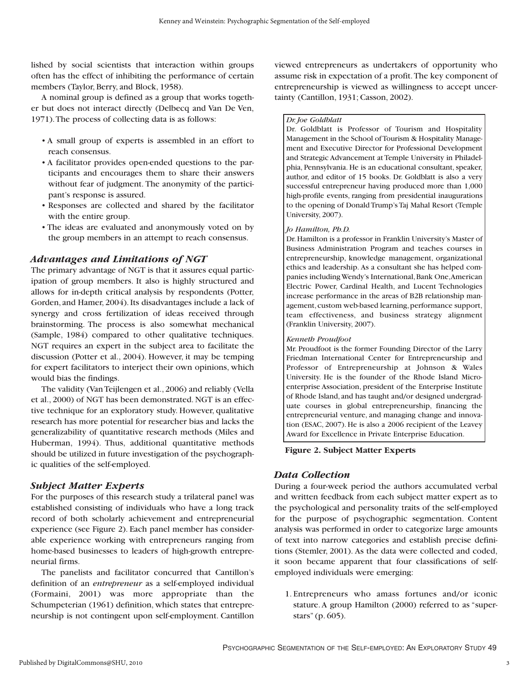lished by social scientists that interaction within groups often has the effect of inhibiting the performance of certain members (Taylor, Berry, and Block, 1958).

A nominal group is defined as a group that works together but does not interact directly (Delbecq and Van De Ven, 1971).The process of collecting data is as follows:

- A small group of experts is assembled in an effort to reach consensus.
- A facilitator provides open-ended questions to the participants and encourages them to share their answers without fear of judgment. The anonymity of the participant's response is assured.
- Responses are collected and shared by the facilitator with the entire group.
- The ideas are evaluated and anonymously voted on by the group members in an attempt to reach consensus.

# *Advantages and Limitations of NGT*

The primary advantage of NGT is that it assures equal participation of group members. It also is highly structured and allows for in-depth critical analysis by respondents (Potter, Gorden, and Hamer, 2004). Its disadvantages include a lack of synergy and cross fertilization of ideas received through brainstorming. The process is also somewhat mechanical (Sample, 1984) compared to other qualitative techniques. NGT requires an expert in the subject area to facilitate the discussion (Potter et al., 2004). However, it may be temping for expert facilitators to interject their own opinions, which would bias the findings.

The validity (Van Teijlengen et al., 2006) and reliably (Vella et al., 2000) of NGT has been demonstrated. NGT is an effective technique for an exploratory study. However, qualitative research has more potential for researcher bias and lacks the generalizability of quantitative research methods (Miles and Huberman, 1994). Thus, additional quantitative methods should be utilized in future investigation of the psychographic qualities of the self-employed.

# *Subject Matter Experts*

For the purposes of this research study a trilateral panel was established consisting of individuals who have a long track record of both scholarly achievement and entrepreneurial experience (see Figure 2). Each panel member has considerable experience working with entrepreneurs ranging from home-based businesses to leaders of high-growth entrepreneurial firms.

The panelists and facilitator concurred that Cantillon's definition of an *entrepreneur* as a self-employed individual (Formaini, 2001) was more appropriate than the Schumpeterian (1961) definition, which states that entrepreneurship is not contingent upon self-employment. Cantillon

viewed entrepreneurs as undertakers of opportunity who assume risk in expectation of a profit.The key component of entrepreneurship is viewed as willingness to accept uncertainty (Cantillon, 1931; Casson, 2002).

#### *Dr. Joe Goldblatt*

Dr. Goldblatt is Professor of Tourism and Hospitality Management in the School of Tourism & Hospitality Management and Executive Director for Professional Development and Strategic Advancement at Temple University in Philadelphia, Pennsylvania. He is an educational consultant, speaker, author, and editor of 15 books. Dr. Goldblatt is also a very successful entrepreneur having produced more than 1,000 high-profile events, ranging from presidential inaugurations to the opening of Donald Trump's Taj Mahal Resort (Temple University, 2007).

#### *Jo Hamilton, Ph.D.*

Dr.Hamilton is a professor in Franklin University's Master of Business Administration Program and teaches courses in entrepreneurship, knowledge management, organizational ethics and leadership. As a consultant she has helped companies including Wendy's International, Bank One, American Electric Power, Cardinal Health, and Lucent Technologies increase performance in the areas of B2B relationship management, custom web-based learning, performance support, team effectiveness, and business strategy alignment (Franklin University, 2007).

#### *Kenneth Proudfoot*

Mr. Proudfoot is the former Founding Director of the Larry Friedman International Center for Entrepreneurship and Professor of Entrepreneurship at Johnson & Wales University. He is the founder of the Rhode Island Microenterprise Association, president of the Enterprise Institute of Rhode Island, and has taught and/or designed undergraduate courses in global entrepreneurship, financing the entrepreneurial venture, and managing change and innovation (ESAC, 2007). He is also a 2006 recipient of the Leavey Award for Excellence in Private Enterprise Education.

# **Figure 2. Subject Matter Experts**

# *Data Collection*

During a four-week period the authors accumulated verbal and written feedback from each subject matter expert as to the psychological and personality traits of the self-employed for the purpose of psychographic segmentation. Content analysis was performed in order to categorize large amounts of text into narrow categories and establish precise definitions (Stemler, 2001). As the data were collected and coded, it soon became apparent that four classifications of selfemployed individuals were emerging:

1. Entrepreneurs who amass fortunes and/or iconic stature. A group Hamilton (2000) referred to as "superstars" (p. 605).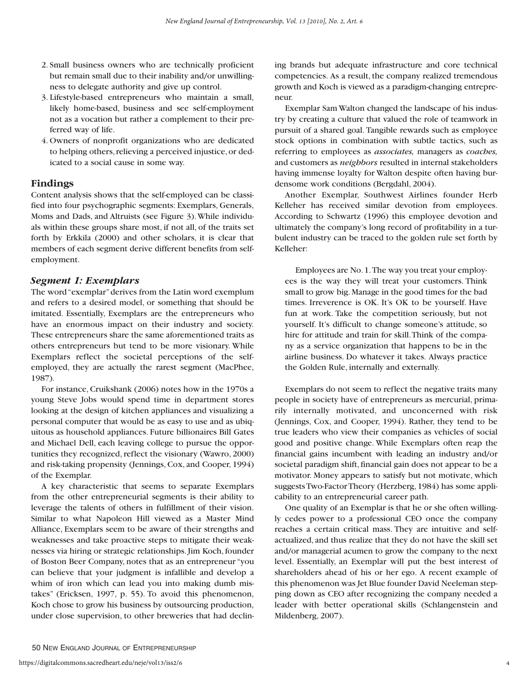- 2. Small business owners who are technically proficient but remain small due to their inability and/or unwillingness to delegate authority and give up control.
- 3. Lifestyle-based entrepreneurs who maintain a small, likely home-based, business and see self-employment not as a vocation but rather a complement to their preferred way of life.
- 4. Owners of nonprofit organizations who are dedicated to helping others, relieving a perceived injustice, or dedicated to a social cause in some way.

# **Findings**

Content analysis shows that the self-employed can be classified into four psychographic segments: Exemplars, Generals, Moms and Dads, and Altruists (see Figure 3).While individuals within these groups share most, if not all, of the traits set forth by Erkkila (2000) and other scholars, it is clear that members of each segment derive different benefits from selfemployment.

# *Segment 1: Exemplars*

The word "exemplar"derives from the Latin word exemplum and refers to a desired model, or something that should be imitated. Essentially, Exemplars are the entrepreneurs who have an enormous impact on their industry and society. These entrepreneurs share the same aforementioned traits as others entrepreneurs but tend to be more visionary. While Exemplars reflect the societal perceptions of the selfemployed, they are actually the rarest segment (MacPhee, 1987).

For instance, Cruikshank (2006) notes how in the 1970s a young Steve Jobs would spend time in department stores looking at the design of kitchen appliances and visualizing a personal computer that would be as easy to use and as ubiquitous as household appliances. Future billionaires Bill Gates and Michael Dell, each leaving college to pursue the opportunities they recognized, reflect the visionary (Wawro, 2000) and risk-taking propensity (Jennings, Cox, and Cooper, 1994) of the Exemplar.

A key characteristic that seems to separate Exemplars from the other entrepreneurial segments is their ability to leverage the talents of others in fulfillment of their vision. Similar to what Napoleon Hill viewed as a Master Mind Alliance, Exemplars seem to be aware of their strengths and weaknesses and take proactive steps to mitigate their weaknesses via hiring or strategic relationships. Jim Koch, founder of Boston Beer Company, notes that as an entrepreneur "you can believe that your judgment is infallible and develop a whim of iron which can lead you into making dumb mistakes" (Ericksen, 1997, p. 55). To avoid this phenomenon, Koch chose to grow his business by outsourcing production, under close supervision, to other breweries that had declining brands but adequate infrastructure and core technical competencies. As a result, the company realized tremendous growth and Koch is viewed as a paradigm-changing entrepreneur.

Exemplar Sam Walton changed the landscape of his industry by creating a culture that valued the role of teamwork in pursuit of a shared goal. Tangible rewards such as employee stock options in combination with subtle tactics, such as referring to employees as *associates,* managers as *coaches,* and customers as *neighbors* resulted in internal stakeholders having immense loyalty for Walton despite often having burdensome work conditions (Bergdahl, 2004).

Another Exemplar, Southwest Airlines founder Herb Kelleher has received similar devotion from employees. According to Schwartz (1996) this employee devotion and ultimately the company's long record of profitability in a turbulent industry can be traced to the golden rule set forth by Kelleher:

Employees are No.1.The way you treat your employees is the way they will treat your customers. Think small to grow big.Manage in the good times for the bad times. Irreverence is OK. It's OK to be yourself. Have fun at work. Take the competition seriously, but not yourself. It's difficult to change someone's attitude, so hire for attitude and train for skill.Think of the company as a service organization that happens to be in the airline business. Do whatever it takes. Always practice the Golden Rule, internally and externally.

Exemplars do not seem to reflect the negative traits many people in society have of entrepreneurs as mercurial, primarily internally motivated, and unconcerned with risk (Jennings, Cox, and Cooper, 1994). Rather, they tend to be true leaders who view their companies as vehicles of social good and positive change. While Exemplars often reap the financial gains incumbent with leading an industry and/or societal paradigm shift, financial gain does not appear to be a motivator. Money appears to satisfy but not motivate, which suggests Two-Factor Theory (Herzberg, 1984) has some applicability to an entrepreneurial career path.

One quality of an Exemplar is that he or she often willingly cedes power to a professional CEO once the company reaches a certain critical mass. They are intuitive and selfactualized, and thus realize that they do not have the skill set and/or managerial acumen to grow the company to the next level. Essentially, an Exemplar will put the best interest of shareholders ahead of his or her ego. A recent example of this phenomenon was Jet Blue founder David Neeleman stepping down as CEO after recognizing the company needed a leader with better operational skills (Schlangenstein and Mildenberg, 2007).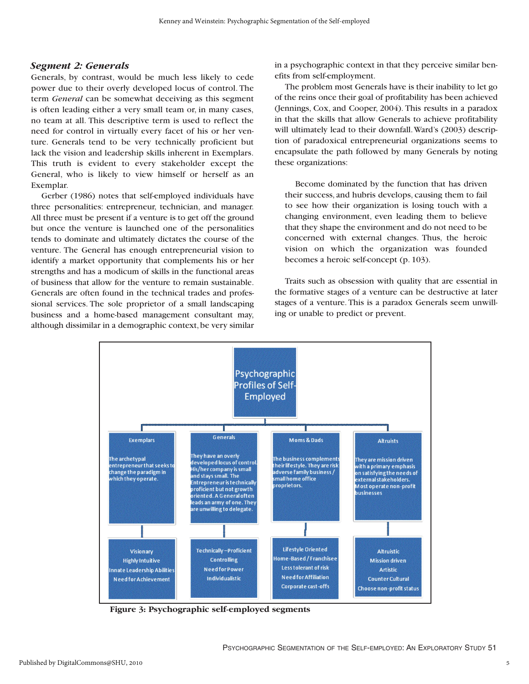#### *Segment 2: Generals*

Generals, by contrast, would be much less likely to cede power due to their overly developed locus of control. The term *General* can be somewhat deceiving as this segment is often leading either a very small team or, in many cases, no team at all. This descriptive term is used to reflect the need for control in virtually every facet of his or her venture. Generals tend to be very technically proficient but lack the vision and leadership skills inherent in Exemplars. This truth is evident to every stakeholder except the General, who is likely to view himself or herself as an Exemplar.

Gerber (1986) notes that self-employed individuals have three personalities: entrepreneur, technician, and manager. All three must be present if a venture is to get off the ground but once the venture is launched one of the personalities tends to dominate and ultimately dictates the course of the venture. The General has enough entrepreneurial vision to identify a market opportunity that complements his or her strengths and has a modicum of skills in the functional areas of business that allow for the venture to remain sustainable. Generals are often found in the technical trades and professional services. The sole proprietor of a small landscaping business and a home-based management consultant may, although dissimilar in a demographic context, be very similar

in a psychographic context in that they perceive similar benefits from self-employment.

The problem most Generals have is their inability to let go of the reins once their goal of profitability has been achieved (Jennings, Cox, and Cooper, 2004). This results in a paradox in that the skills that allow Generals to achieve profitability will ultimately lead to their downfall.Ward's (2003) description of paradoxical entrepreneurial organizations seems to encapsulate the path followed by many Generals by noting these organizations:

Become dominated by the function that has driven their success, and hubris develops, causing them to fail to see how their organization is losing touch with a changing environment, even leading them to believe that they shape the environment and do not need to be concerned with external changes. Thus, the heroic vision on which the organization was founded becomes a heroic self-concept (p. 103).

Traits such as obsession with quality that are essential in the formative stages of a venture can be destructive at later stages of a venture. This is a paradox Generals seem unwilling or unable to predict or prevent.



**Figure 3: Psychographic self-employed segments**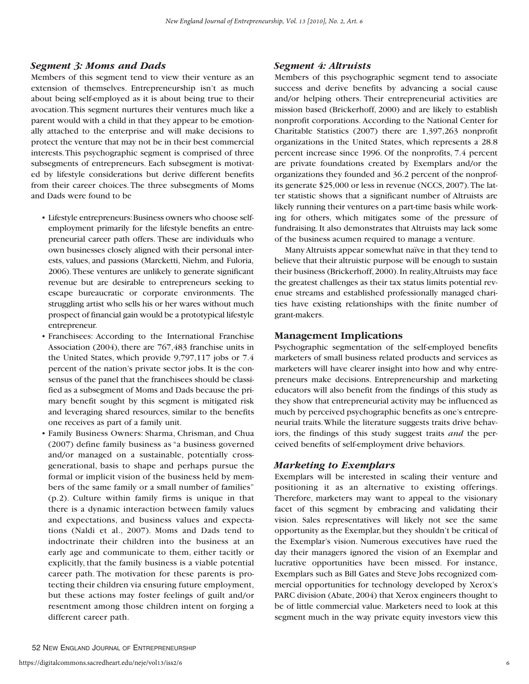## *Segment 3: Moms and Dads*

Members of this segment tend to view their venture as an extension of themselves. Entrepreneurship isn't as much about being self-employed as it is about being true to their avocation.This segment nurtures their ventures much like a parent would with a child in that they appear to be emotionally attached to the enterprise and will make decisions to protect the venture that may not be in their best commercial interests.This psychographic segment is comprised of three subsegments of entrepreneurs. Each subsegment is motivated by lifestyle considerations but derive different benefits from their career choices. The three subsegments of Moms and Dads were found to be

- Lifestyle entrepreneurs:Business owners who choose selfemployment primarily for the lifestyle benefits an entrepreneurial career path offers. These are individuals who own businesses closely aligned with their personal interests, values, and passions (Marcketti, Niehm, and Fuloria, 2006).These ventures are unlikely to generate significant revenue but are desirable to entrepreneurs seeking to escape bureaucratic or corporate environments. The struggling artist who sells his or her wares without much prospect of financial gain would be a prototypical lifestyle entrepreneur.
- Franchisees: According to the International Franchise Association (2004), there are 767,483 franchise units in the United States, which provide 9,797,117 jobs or 7.4 percent of the nation's private sector jobs. It is the consensus of the panel that the franchisees should be classified as a subsegment of Moms and Dads because the primary benefit sought by this segment is mitigated risk and leveraging shared resources, similar to the benefits one receives as part of a family unit.
- Family Business Owners: Sharma, Chrisman, and Chua (2007) define family business as "a business governed and/or managed on a sustainable, potentially crossgenerational, basis to shape and perhaps pursue the formal or implicit vision of the business held by members of the same family or a small number of families" (p.2). Culture within family firms is unique in that there is a dynamic interaction between family values and expectations, and business values and expectations (Naldi et al., 2007). Moms and Dads tend to indoctrinate their children into the business at an early age and communicate to them, either tacitly or explicitly, that the family business is a viable potential career path. The motivation for these parents is protecting their children via ensuring future employment, but these actions may foster feelings of guilt and/or resentment among those children intent on forging a different career path.

# *Segment 4: Altruists*

Members of this psychographic segment tend to associate success and derive benefits by advancing a social cause and/or helping others. Their entrepreneurial activities are mission based (Brickerhoff, 2000) and are likely to establish nonprofit corporations. According to the National Center for Charitable Statistics (2007) there are 1,397,263 nonprofit organizations in the United States, which represents a 28.8 percent increase since 1996. Of the nonprofits, 7.4 percent are private foundations created by Exemplars and/or the organizations they founded and 36.2 percent of the nonprofits generate \$25,000 or less in revenue (NCCS, 2007).The latter statistic shows that a significant number of Altruists are likely running their ventures on a part-time basis while working for others, which mitigates some of the pressure of fundraising. It also demonstrates that Altruists may lack some of the business acumen required to manage a venture.

Many Altruists appear somewhat naïve in that they tend to believe that their altruistic purpose will be enough to sustain their business (Brickerhoff,2000).In reality,Altruists may face the greatest challenges as their tax status limits potential revenue streams and established professionally managed charities have existing relationships with the finite number of grant-makers.

#### **Management Implications**

Psychographic segmentation of the self-employed benefits marketers of small business related products and services as marketers will have clearer insight into how and why entrepreneurs make decisions. Entrepreneurship and marketing educators will also benefit from the findings of this study as they show that entrepreneurial activity may be influenced as much by perceived psychographic benefits as one's entrepreneurial traits.While the literature suggests traits drive behaviors, the findings of this study suggest traits *and* the perceived benefits of self-employment drive behaviors.

# *Marketing to Exemplars*

Exemplars will be interested in scaling their venture and positioning it as an alternative to existing offerings. Therefore, marketers may want to appeal to the visionary facet of this segment by embracing and validating their vision. Sales representatives will likely not see the same opportunity as the Exemplar, but they shouldn't be critical of the Exemplar's vision. Numerous executives have rued the day their managers ignored the vision of an Exemplar and lucrative opportunities have been missed. For instance, Exemplars such as Bill Gates and Steve Jobs recognized commercial opportunities for technology developed by Xerox's PARC division (Abate, 2004) that Xerox engineers thought to be of little commercial value. Marketers need to look at this segment much in the way private equity investors view this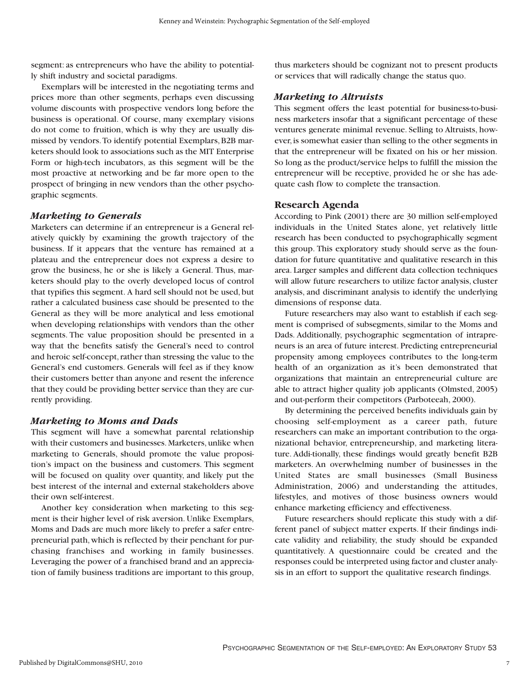segment: as entrepreneurs who have the ability to potentially shift industry and societal paradigms.

Exemplars will be interested in the negotiating terms and prices more than other segments, perhaps even discussing volume discounts with prospective vendors long before the business is operational. Of course, many exemplary visions do not come to fruition, which is why they are usually dismissed by vendors.To identify potential Exemplars, B2B marketers should look to associations such as the MIT Enterprise Form or high-tech incubators, as this segment will be the most proactive at networking and be far more open to the prospect of bringing in new vendors than the other psychographic segments.

# *Marketing to Generals*

Marketers can determine if an entrepreneur is a General relatively quickly by examining the growth trajectory of the business. If it appears that the venture has remained at a plateau and the entrepreneur does not express a desire to grow the business, he or she is likely a General. Thus, marketers should play to the overly developed locus of control that typifies this segment. A hard sell should not be used, but rather a calculated business case should be presented to the General as they will be more analytical and less emotional when developing relationships with vendors than the other segments. The value proposition should be presented in a way that the benefits satisfy the General's need to control and heroic self-concept, rather than stressing the value to the General's end customers. Generals will feel as if they know their customers better than anyone and resent the inference that they could be providing better service than they are currently providing.

# *Marketing to Moms and Dads*

This segment will have a somewhat parental relationship with their customers and businesses. Marketers, unlike when marketing to Generals, should promote the value proposition's impact on the business and customers. This segment will be focused on quality over quantity, and likely put the best interest of the internal and external stakeholders above their own self-interest.

Another key consideration when marketing to this segment is their higher level of risk aversion. Unlike Exemplars, Moms and Dads are much more likely to prefer a safer entrepreneurial path,which is reflected by their penchant for purchasing franchises and working in family businesses. Leveraging the power of a franchised brand and an appreciation of family business traditions are important to this group,

thus marketers should be cognizant not to present products or services that will radically change the status quo.

# *Marketing to Altruists*

This segment offers the least potential for business-to-business marketers insofar that a significant percentage of these ventures generate minimal revenue. Selling to Altruists, however, is somewhat easier than selling to the other segments in that the entrepreneur will be fixated on his or her mission. So long as the product/service helps to fulfill the mission the entrepreneur will be receptive, provided he or she has adequate cash flow to complete the transaction.

# **Research Agenda**

According to Pink (2001) there are 30 million self-employed individuals in the United States alone, yet relatively little research has been conducted to psychographically segment this group. This exploratory study should serve as the foundation for future quantitative and qualitative research in this area. Larger samples and different data collection techniques will allow future researchers to utilize factor analysis, cluster analysis, and discriminant analysis to identify the underlying dimensions of response data.

Future researchers may also want to establish if each segment is comprised of subsegments, similar to the Moms and Dads. Additionally, psychographic segmentation of intrapreneurs is an area of future interest. Predicting entrepreneurial propensity among employees contributes to the long-term health of an organization as it's been demonstrated that organizations that maintain an entrepreneurial culture are able to attract higher quality job applicants (Olmsted, 2005) and out-perform their competitors (Parboteeah, 2000).

By determining the perceived benefits individuals gain by choosing self-employment as a career path, future researchers can make an important contribution to the organizational behavior, entrepreneurship, and marketing literature. Addi-tionally, these findings would greatly benefit B2B marketers. An overwhelming number of businesses in the United States are small businesses (Small Business Administration, 2006) and understanding the attitudes, lifestyles, and motives of those business owners would enhance marketing efficiency and effectiveness.

Future researchers should replicate this study with a different panel of subject matter experts. If their findings indicate validity and reliability, the study should be expanded quantitatively. A questionnaire could be created and the responses could be interpreted using factor and cluster analysis in an effort to support the qualitative research findings.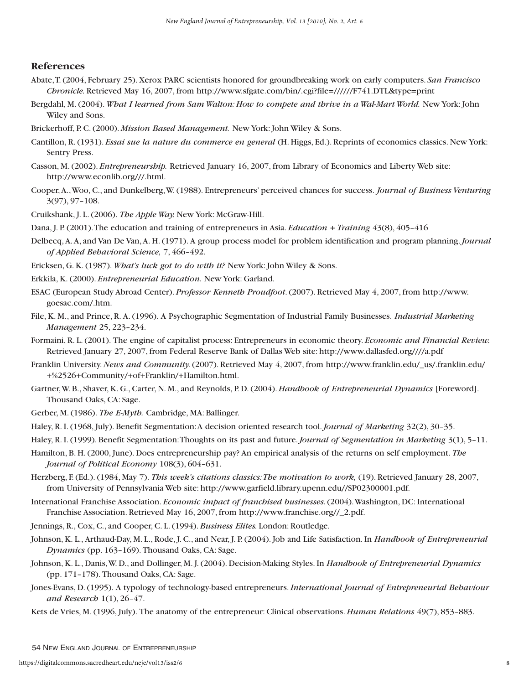# **References**

- Abate,T. (2004, February 25). Xerox PARC scientists honored for groundbreaking work on early computers. *San Francisco Chronicle.* Retrieved May 16, 2007, from http://www.sfgate.com/bin/.cgi?file=//////F741.DTL&type=print
- Bergdahl, M. (2004). *What I learned from Sam Walton: How to compete and thrive in a Wal-Mart World.* New York: John Wiley and Sons.
- Brickerhoff, P. C. (2000). *Mission Based Management.* New York: John Wiley & Sons.
- Cantillon, R. (1931). *Essai sue la nature du commerce en general* (H. Higgs, Ed.). Reprints of economics classics. New York: Sentry Press.
- Casson, M. (2002). *Entrepreneurship.* Retrieved January 16, 2007, from Library of Economics and Liberty Web site: http://www.econlib.org///.html.
- Cooper,A.,Woo, C., and Dunkelberg,W. (1988). Entrepreneurs' perceived chances for success. *Journal of Business Venturing* 3(97), 97–108.
- Cruikshank, J. L. (2006). *The Apple Way.* New York: McGraw-Hill.
- Dana, J. P. (2001).The education and training of entrepreneurs in Asia. *Education + Training* 43(8), 405–416
- Delbecq,A.A, and Van De Van,A. H. (1971). A group process model for problem identification and program planning.*Journal of Applied Behavioral Science,* 7, 466–492.
- Ericksen, G. K. (1987). *What's luck got to do with it?* New York: John Wiley & Sons.
- Erkkila, K. (2000). *Entrepreneurial Education.* New York: Garland.
- ESAC (European Study Abroad Center). *Professor Kenneth Proudfoot*. (2007). Retrieved May 4, 2007, from http://www. goesac.com/.htm.
- File,K. M., and Prince, R. A. (1996). A Psychographic Segmentation of Industrial Family Businesses. *Industrial Marketing Management* 25, 223–234.
- Formaini, R. L. (2001). The engine of capitalist process: Entrepreneurs in economic theory. *Economic and Financial Review.* Retrieved January 27, 2007, from Federal Reserve Bank of Dallas Web site: http://www.dallasfed.org////a.pdf
- Franklin University.*News and Community.*(2007). Retrieved May 4, 2007, from http://www.franklin.edu/\_us/.franklin.edu/ +%2526+Community/+of+Franklin/+Hamilton.html.
- Gartner,W. B., Shaver, K. G., Carter, N. M., and Reynolds, P. D. (2004). *Handbook of Entrepreneurial Dynamics* [Foreword]. Thousand Oaks, CA: Sage.
- Gerber, M. (1986). *The E-Myth.* Cambridge, MA: Ballinger.
- Haley, R. I. (1968, July). Benefit Segmentation:A decision oriented research tool.*Journal of Marketing* 32(2), 30–35.
- Haley, R. I. (1999). Benefit Segmentation:Thoughts on its past and future.*Journal of Segmentation in Marketing* 3(1), 5–11.
- Hamilton, B. H. (2000, June). Does entrepreneurship pay? An empirical analysis of the returns on self employment. *The Journal of Political Economy* 108(3), 604–631.
- Herzberg, F. (Ed.). (1984, May 7). *This week's citations classics:The motivation to work,* (19). Retrieved January 28, 2007, from University of Pennsylvania Web site: http://www.garfield.library.upenn.edu//SP02300001.pdf.
- International Franchise Association. *Economic impact of franchised businesses.*(2004).Washington, DC: International Franchise Association. Retrieved May 16, 2007, from http://www.franchise.org//\_2.pdf.
- Jennings, R., Cox, C., and Cooper, C. L. (1994). *Business Elites.* London: Routledge.
- Johnson, K. L., Arthaud-Day, M. L., Rode, J. C., and Near, J. P. (2004). Job and Life Satisfaction. In *Handbook of Entrepreneurial Dynamics* (pp. 163–169). Thousand Oaks, CA: Sage.
- Johnson,K. L., Danis,W. D., and Dollinger, M. J. (2004). Decision-Making Styles. In *Handbook of Entrepreneurial Dynamics* (pp. 171–178). Thousand Oaks, CA: Sage.
- Jones-Evans, D. (1995). A typology of technology-based entrepreneurs.*International Journal of Entrepreneurial Behaviour and Research* 1(1), 26–47.
- Kets de Vries, M. (1996, July). The anatomy of the entrepreneur: Clinical observations. *Human Relations* 49(7), 853–883.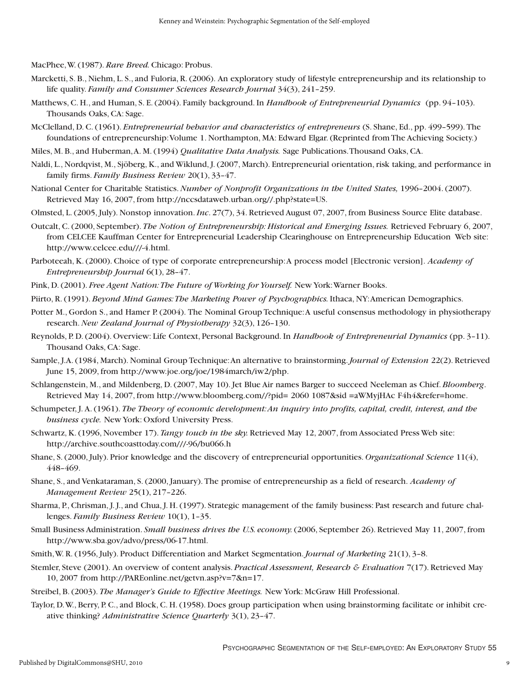MacPhee,W. (1987). *Rare Breed.* Chicago: Probus.

- Marcketti, S. B., Niehm, L. S., and Fuloria, R. (2006). An exploratory study of lifestyle entrepreneurship and its relationship to life quality. *Family and Consumer Sciences Research Journal* 34(3), 241–259.
- Matthews, C. H., and Human, S. E. (2004). Family background. In *Handbook of Entrepreneurial Dynamics* (pp. 94–103). Thousands Oaks, CA: Sage.
- McClelland, D. C. (1961). *Entrepreneurial behavior and characteristics of entrepreneurs* (S. Shane, Ed., pp. 499–599). The foundations of entrepreneurship:Volume 1. Northampton, MA: Edward Elgar. (Reprinted from The Achieving Society.)
- Miles, M. B., and Huberman,A. M. (1994) *Qualitative Data Analysis.* Sage Publications.Thousand Oaks, CA.
- Naldi, L., Nordqvist, M., Sjöberg, K., and Wiklund, J. (2007, March). Entrepreneurial orientation, risk taking, and performance in family firms. *Family Business Review* 20(1), 33–47.
- National Center for Charitable Statistics.*Number of Nonprofit Organizations in the United States,* 1996–2004. (2007). Retrieved May 16, 2007, from http://nccsdataweb.urban.org//.php?state=US.
- Olmsted, L. (2005, July). Nonstop innovation.*Inc*. 27(7), 34. Retrieved August 07, 2007, from Business Source Elite database.
- Outcalt, C. (2000, September). *The Notion of Entrepreneurship: Historical and Emerging Issues.* Retrieved February 6, 2007, from CELCEE Kauffman Center for Entrepreneurial Leadership Clearinghouse on Entrepreneurship Education Web site: http://www.celcee.edu///-4.html.
- Parboteeah, K. (2000). Choice of type of corporate entrepreneurship:A process model [Electronic version]. *Academy of Entrepreneurship Journal* 6(1), 28–47.
- Pink, D. (2001). *Free Agent Nation: The Future of Working for Yourself.* New York: Warner Books.
- Piirto, R. (1991). *Beyond Mind Games:The Marketing Power of Psychographics.* Ithaca, NY:American Demographics.
- Potter M., Gordon S., and Hamer P. (2004). The Nominal Group Technique: A useful consensus methodology in physiotherapy research.*New Zealand Journal of Physiotherapy* 32(3), 126–130.
- Reynolds, P. D. (2004). Overview: Life Context, Personal Background. In *Handbook of Entrepreneurial Dynamics* (pp. 3–11). Thousand Oaks, CA: Sage.
- Sample, J.A. (1984, March). Nominal Group Technique:An alternative to brainstorming.*Journal of Extension* 22(2). Retrieved June 15, 2009, from http://www.joe.org/joe/1984march/iw2/php.
- Schlangenstein, M., and Mildenberg, D.(2007, May 10). Jet Blue Air names Barger to succeed Neeleman as Chief. *Bloomberg*. Retrieved May 14, 2007, from http://www.bloomberg.com//?pid= 2060 1087&sid =aWMyjHAc F4h4&refer=home.
- Schumpeter, J. A. (1961). *The Theory of economic development:An inquiry into profits, capital, credit, interest, and the business cycle.* New York: Oxford University Press.
- Schwartz,K.(1996, November 17). *Tangy touch in the sky.* Retrieved May 12, 2007, from Associated Press Web site: http://archive.southcoasttoday.com///-96/bu066.h
- Shane, S. (2000, July). Prior knowledge and the discovery of entrepreneurial opportunities. *Organizational Science* 11(4), 448–469.
- Shane, S., and Venkataraman, S. (2000, January). The promise of entrepreneurship as a field of research. *Academy of Management Review* 25(1), 217–226.
- Sharma, P., Chrisman, J. J., and Chua, J. H. (1997). Strategic management of the family business: Past research and future challenges. *Family Business Review* 10(1), 1–35.
- Small Business Administration. *Small business drives the U.S. economy.*(2006, September 26). Retrieved May 11, 2007, from http://www.sba.gov/advo/press/06-17.html.
- Smith,W. R. (1956, July). Product Differentiation and Market Segmentation.*Journal of Marketing* 21(1), 3–8.
- Stemler, Steve (2001). An overview of content analysis. *Practical Assessment, Research & Evaluation* 7(17). Retrieved May 10, 2007 from http://PAREonline.net/getvn.asp?v=7&n=17.
- Streibel, B. (2003). *The Manager's Guide to Effective Meetings.* New York: McGraw Hill Professional.
- Taylor, D.W., Berry, P. C., and Block, C. H. (1958). Does group participation when using brainstorming facilitate or inhibit creative thinking? *Administrative Science Quarterly* 3(1), 23–47.